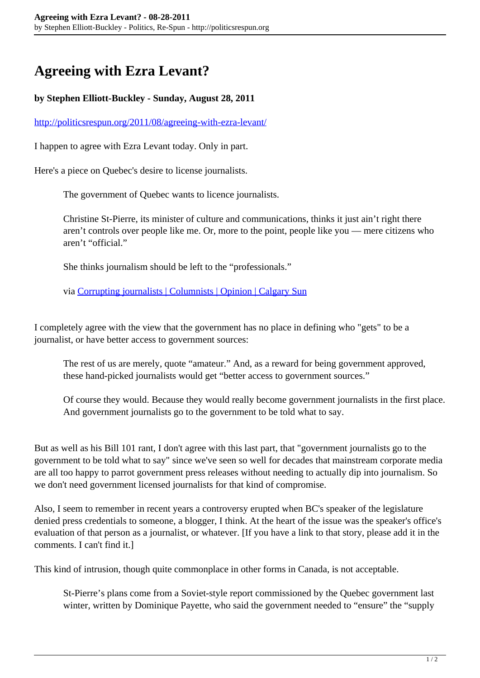## **Agreeing with Ezra Levant?**

## **by Stephen Elliott-Buckley - Sunday, August 28, 2011**

<http://politicsrespun.org/2011/08/agreeing-with-ezra-levant/>

I happen to agree with Ezra Levant today. Only in part.

Here's a piece on Quebec's desire to license journalists.

The government of Quebec wants to licence journalists.

Christine St-Pierre, its minister of culture and communications, thinks it just ain't right there aren't controls over people like me. Or, more to the point, people like you — mere citizens who aren't "official."

She thinks journalism should be left to the "professionals."

via [Corrupting journalists | Columnists | Opinion | Calgary Sun](http://www.calgarysun.com/2011/08/27/corrupting-journalists)

I completely agree with the view that the government has no place in defining who "gets" to be a journalist, or have better access to government sources:

The rest of us are merely, quote "amateur." And, as a reward for being government approved, these hand-picked journalists would get "better access to government sources."

Of course they would. Because they would really become government journalists in the first place. And government journalists go to the government to be told what to say.

But as well as his Bill 101 rant, I don't agree with this last part, that "government journalists go to the government to be told what to say" since we've seen so well for decades that mainstream corporate media are all too happy to parrot government press releases without needing to actually dip into journalism. So we don't need government licensed journalists for that kind of compromise.

Also, I seem to remember in recent years a controversy erupted when BC's speaker of the legislature denied press credentials to someone, a blogger, I think. At the heart of the issue was the speaker's office's evaluation of that person as a journalist, or whatever. [If you have a link to that story, please add it in the comments. I can't find it.]

This kind of intrusion, though quite commonplace in other forms in Canada, is not acceptable.

St-Pierre's plans come from a Soviet-style report commissioned by the Quebec government last winter, written by Dominique Payette, who said the government needed to "ensure" the "supply